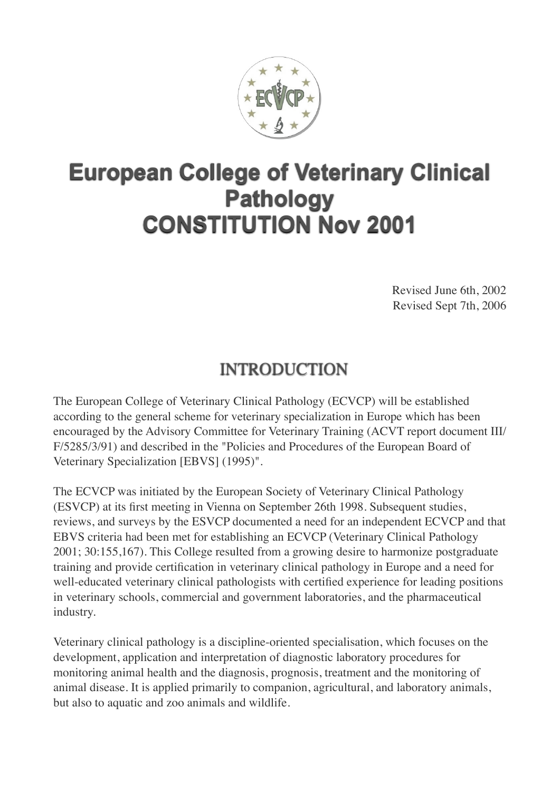

# **European College of Veterinary Clinical Pathology CONSTITUTION Nov 2001**

Revised June 6th, 2002 Revised Sept 7th, 2006

# INTRODUCTION

The European College of Veterinary Clinical Pathology (ECVCP) will be established according to the general scheme for veterinary specialization in Europe which has been encouraged by the Advisory Committee for Veterinary Training (ACVT report document III/ F/5285/3/91) and described in the "Policies and Procedures of the European Board of Veterinary Specialization [EBVS] (1995)".

The ECVCP was initiated by the European Society of Veterinary Clinical Pathology (ESVCP) at its first meeting in Vienna on September 26th 1998. Subsequent studies, reviews, and surveys by the ESVCP documented a need for an independent ECVCP and that EBVS criteria had been met for establishing an ECVCP (Veterinary Clinical Pathology 2001; 30:155,167). This College resulted from a growing desire to harmonize postgraduate training and provide certification in veterinary clinical pathology in Europe and a need for well-educated veterinary clinical pathologists with certified experience for leading positions in veterinary schools, commercial and government laboratories, and the pharmaceutical industry.

Veterinary clinical pathology is a discipline-oriented specialisation, which focuses on the development, application and interpretation of diagnostic laboratory procedures for monitoring animal health and the diagnosis, prognosis, treatment and the monitoring of animal disease. It is applied primarily to companion, agricultural, and laboratory animals, but also to aquatic and zoo animals and wildlife.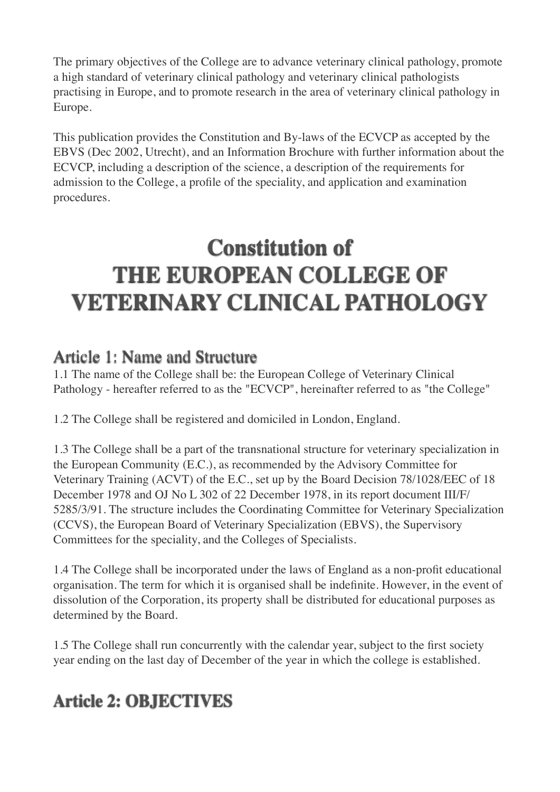The primary objectives of the College are to advance veterinary clinical pathology, promote a high standard of veterinary clinical pathology and veterinary clinical pathologists practising in Europe, and to promote research in the area of veterinary clinical pathology in Europe.

This publication provides the Constitution and By-laws of the ECVCP as accepted by the EBVS (Dec 2002, Utrecht), and an Information Brochure with further information about the ECVCP, including a description of the science, a description of the requirements for admission to the College, a profile of the speciality, and application and examination procedures.

# **Constitution of THE EUROPEAN COLLEGE OF VETERINARY CLINICAL PATHOLOGY**

#### Article 1: Name and Structure

1.1 The name of the College shall be: the European College of Veterinary Clinical Pathology - hereafter referred to as the "ECVCP", hereinafter referred to as "the College"

1.2 The College shall be registered and domiciled in London, England.

1.3 The College shall be a part of the transnational structure for veterinary specialization in the European Community (E.C.), as recommended by the Advisory Committee for Veterinary Training (ACVT) of the E.C., set up by the Board Decision 78/1028/EEC of 18 December 1978 and OJ No L 302 of 22 December 1978, in its report document III/F/ 5285/3/91. The structure includes the Coordinating Committee for Veterinary Specialization (CCVS), the European Board of Veterinary Specialization (EBVS), the Supervisory Committees for the speciality, and the Colleges of Specialists.

1.4 The College shall be incorporated under the laws of England as a non-profit educational organisation. The term for which it is organised shall be indefinite. However, in the event of dissolution of the Corporation, its property shall be distributed for educational purposes as determined by the Board.

1.5 The College shall run concurrently with the calendar year, subject to the first society year ending on the last day of December of the year in which the college is established.

# **Article 2: OBJECTIVES**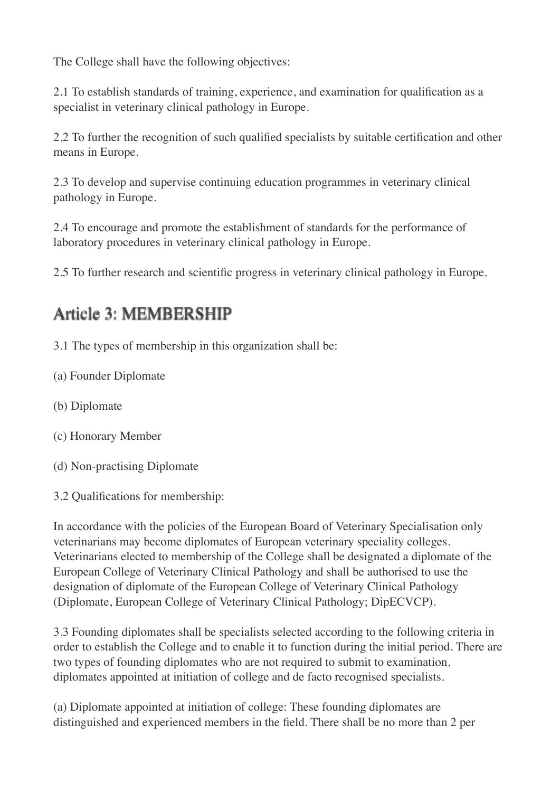The College shall have the following objectives:

2.1 To establish standards of training, experience, and examination for qualification as a specialist in veterinary clinical pathology in Europe.

2.2 To further the recognition of such qualified specialists by suitable certification and other means in Europe.

2.3 To develop and supervise continuing education programmes in veterinary clinical pathology in Europe.

2.4 To encourage and promote the establishment of standards for the performance of laboratory procedures in veterinary clinical pathology in Europe.

2.5 To further research and scientific progress in veterinary clinical pathology in Europe.

### Article 3: MEMBERSHIP

3.1 The types of membership in this organization shall be:

- (a) Founder Diplomate
- (b) Diplomate
- (c) Honorary Member
- (d) Non-practising Diplomate
- 3.2 Qualifications for membership:

In accordance with the policies of the European Board of Veterinary Specialisation only veterinarians may become diplomates of European veterinary speciality colleges. Veterinarians elected to membership of the College shall be designated a diplomate of the European College of Veterinary Clinical Pathology and shall be authorised to use the designation of diplomate of the European College of Veterinary Clinical Pathology (Diplomate, European College of Veterinary Clinical Pathology; DipECVCP).

3.3 Founding diplomates shall be specialists selected according to the following criteria in order to establish the College and to enable it to function during the initial period. There are two types of founding diplomates who are not required to submit to examination, diplomates appointed at initiation of college and de facto recognised specialists.

(a) Diplomate appointed at initiation of college: These founding diplomates are distinguished and experienced members in the field. There shall be no more than 2 per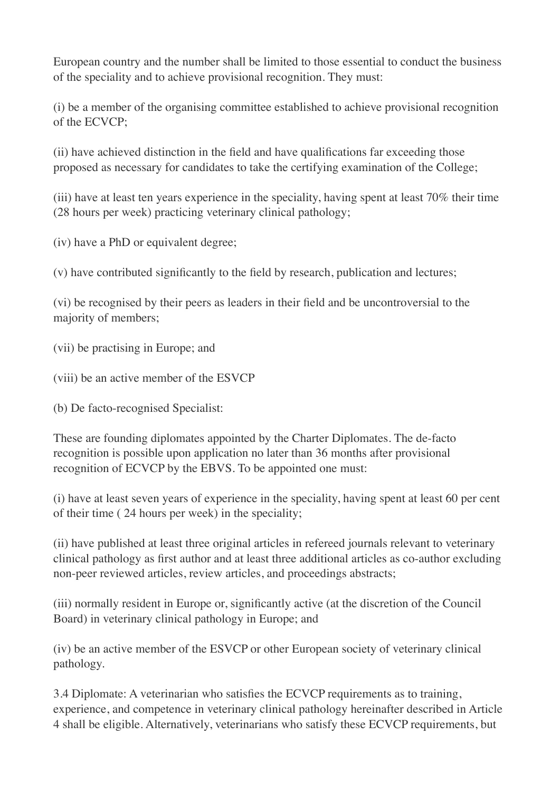European country and the number shall be limited to those essential to conduct the business of the speciality and to achieve provisional recognition. They must:

(i) be a member of the organising committee established to achieve provisional recognition of the ECVCP;

(ii) have achieved distinction in the field and have qualifications far exceeding those proposed as necessary for candidates to take the certifying examination of the College;

(iii) have at least ten years experience in the speciality, having spent at least 70% their time (28 hours per week) practicing veterinary clinical pathology;

(iv) have a PhD or equivalent degree;

(v) have contributed significantly to the field by research, publication and lectures;

(vi) be recognised by their peers as leaders in their field and be uncontroversial to the majority of members;

(vii) be practising in Europe; and

(viii) be an active member of the ESVCP

(b) De facto-recognised Specialist:

These are founding diplomates appointed by the Charter Diplomates. The de-facto recognition is possible upon application no later than 36 months after provisional recognition of ECVCP by the EBVS. To be appointed one must:

(i) have at least seven years of experience in the speciality, having spent at least 60 per cent of their time ( 24 hours per week) in the speciality;

(ii) have published at least three original articles in refereed journals relevant to veterinary clinical pathology as first author and at least three additional articles as co-author excluding non-peer reviewed articles, review articles, and proceedings abstracts;

(iii) normally resident in Europe or, significantly active (at the discretion of the Council Board) in veterinary clinical pathology in Europe; and

(iv) be an active member of the ESVCP or other European society of veterinary clinical pathology.

3.4 Diplomate: A veterinarian who satisfies the ECVCP requirements as to training, experience, and competence in veterinary clinical pathology hereinafter described in Article 4 shall be eligible. Alternatively, veterinarians who satisfy these ECVCP requirements, but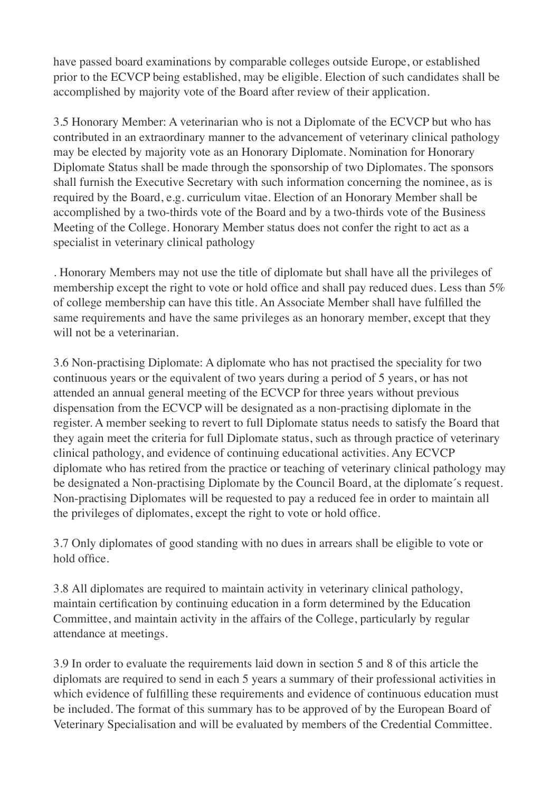have passed board examinations by comparable colleges outside Europe, or established prior to the ECVCP being established, may be eligible. Election of such candidates shall be accomplished by majority vote of the Board after review of their application.

3.5 Honorary Member: A veterinarian who is not a Diplomate of the ECVCP but who has contributed in an extraordinary manner to the advancement of veterinary clinical pathology may be elected by majority vote as an Honorary Diplomate. Nomination for Honorary Diplomate Status shall be made through the sponsorship of two Diplomates. The sponsors shall furnish the Executive Secretary with such information concerning the nominee, as is required by the Board, e.g. curriculum vitae. Election of an Honorary Member shall be accomplished by a two-thirds vote of the Board and by a two-thirds vote of the Business Meeting of the College. Honorary Member status does not confer the right to act as a specialist in veterinary clinical pathology

. Honorary Members may not use the title of diplomate but shall have all the privileges of membership except the right to vote or hold office and shall pay reduced dues. Less than 5% of college membership can have this title. An Associate Member shall have fulfilled the same requirements and have the same privileges as an honorary member, except that they will not be a veterinarian.

3.6 Non-practising Diplomate: A diplomate who has not practised the speciality for two continuous years or the equivalent of two years during a period of 5 years, or has not attended an annual general meeting of the ECVCP for three years without previous dispensation from the ECVCP will be designated as a non-practising diplomate in the register. A member seeking to revert to full Diplomate status needs to satisfy the Board that they again meet the criteria for full Diplomate status, such as through practice of veterinary clinical pathology, and evidence of continuing educational activities. Any ECVCP diplomate who has retired from the practice or teaching of veterinary clinical pathology may be designated a Non-practising Diplomate by the Council Board, at the diplomate´s request. Non-practising Diplomates will be requested to pay a reduced fee in order to maintain all the privileges of diplomates, except the right to vote or hold office.

3.7 Only diplomates of good standing with no dues in arrears shall be eligible to vote or hold office.

3.8 All diplomates are required to maintain activity in veterinary clinical pathology, maintain certification by continuing education in a form determined by the Education Committee, and maintain activity in the affairs of the College, particularly by regular attendance at meetings.

3.9 In order to evaluate the requirements laid down in section 5 and 8 of this article the diplomats are required to send in each 5 years a summary of their professional activities in which evidence of fulfilling these requirements and evidence of continuous education must be included. The format of this summary has to be approved of by the European Board of Veterinary Specialisation and will be evaluated by members of the Credential Committee.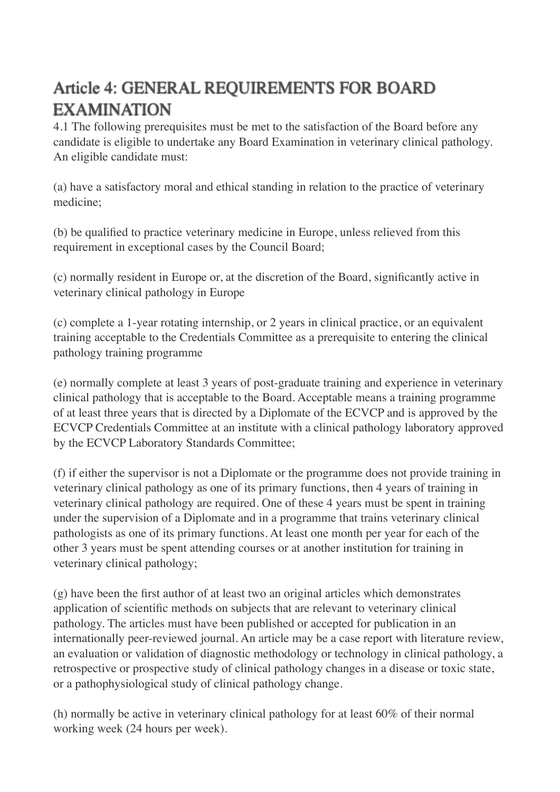# Article 4: GENERAL REQUIREMENTS FOR BOARD EXAMINATION

4.1 The following prerequisites must be met to the satisfaction of the Board before any candidate is eligible to undertake any Board Examination in veterinary clinical pathology. An eligible candidate must:

(a) have a satisfactory moral and ethical standing in relation to the practice of veterinary medicine;

(b) be qualified to practice veterinary medicine in Europe, unless relieved from this requirement in exceptional cases by the Council Board;

(c) normally resident in Europe or, at the discretion of the Board, significantly active in veterinary clinical pathology in Europe

(c) complete a 1-year rotating internship, or 2 years in clinical practice, or an equivalent training acceptable to the Credentials Committee as a prerequisite to entering the clinical pathology training programme

(e) normally complete at least 3 years of post-graduate training and experience in veterinary clinical pathology that is acceptable to the Board. Acceptable means a training programme of at least three years that is directed by a Diplomate of the ECVCP and is approved by the ECVCP Credentials Committee at an institute with a clinical pathology laboratory approved by the ECVCP Laboratory Standards Committee;

(f) if either the supervisor is not a Diplomate or the programme does not provide training in veterinary clinical pathology as one of its primary functions, then 4 years of training in veterinary clinical pathology are required. One of these 4 years must be spent in training under the supervision of a Diplomate and in a programme that trains veterinary clinical pathologists as one of its primary functions. At least one month per year for each of the other 3 years must be spent attending courses or at another institution for training in veterinary clinical pathology;

(g) have been the first author of at least two an original articles which demonstrates application of scientific methods on subjects that are relevant to veterinary clinical pathology. The articles must have been published or accepted for publication in an internationally peer-reviewed journal. An article may be a case report with literature review, an evaluation or validation of diagnostic methodology or technology in clinical pathology, a retrospective or prospective study of clinical pathology changes in a disease or toxic state, or a pathophysiological study of clinical pathology change.

(h) normally be active in veterinary clinical pathology for at least 60% of their normal working week (24 hours per week).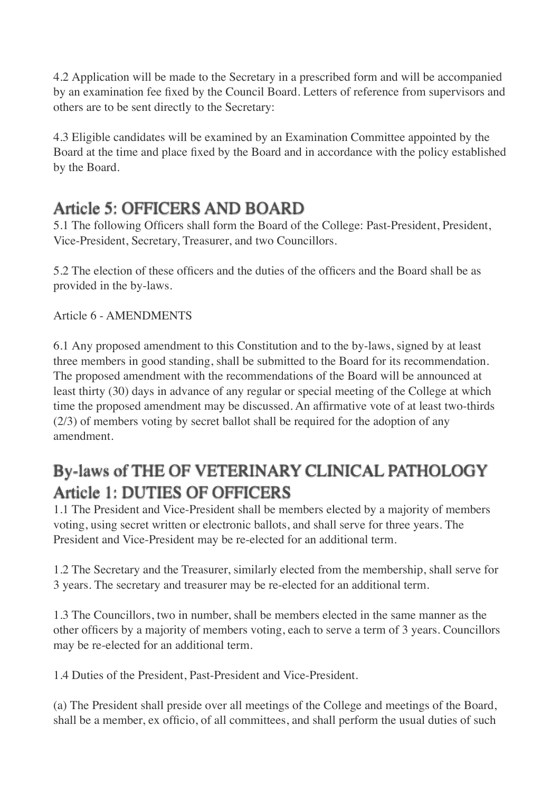4.2 Application will be made to the Secretary in a prescribed form and will be accompanied by an examination fee fixed by the Council Board. Letters of reference from supervisors and others are to be sent directly to the Secretary:

4.3 Eligible candidates will be examined by an Examination Committee appointed by the Board at the time and place fixed by the Board and in accordance with the policy established by the Board.

### Article 5: OFFICERS AND BOARD

5.1 The following Officers shall form the Board of the College: Past-President, President, Vice-President, Secretary, Treasurer, and two Councillors.

5.2 The election of these officers and the duties of the officers and the Board shall be as provided in the by-laws.

#### Article 6 - AMENDMENTS

6.1 Any proposed amendment to this Constitution and to the by-laws, signed by at least three members in good standing, shall be submitted to the Board for its recommendation. The proposed amendment with the recommendations of the Board will be announced at least thirty (30) days in advance of any regular or special meeting of the College at which time the proposed amendment may be discussed. An affirmative vote of at least two-thirds (2/3) of members voting by secret ballot shall be required for the adoption of any amendment.

### By-laws of THE OF VETERINARY CLINICAL PATHOLOGY Article 1: DUTIES OF OFFICERS

1.1 The President and Vice-President shall be members elected by a majority of members voting, using secret written or electronic ballots, and shall serve for three years. The President and Vice-President may be re-elected for an additional term.

1.2 The Secretary and the Treasurer, similarly elected from the membership, shall serve for 3 years. The secretary and treasurer may be re-elected for an additional term.

1.3 The Councillors, two in number, shall be members elected in the same manner as the other officers by a majority of members voting, each to serve a term of 3 years. Councillors may be re-elected for an additional term.

1.4 Duties of the President, Past-President and Vice-President.

(a) The President shall preside over all meetings of the College and meetings of the Board, shall be a member, ex officio, of all committees, and shall perform the usual duties of such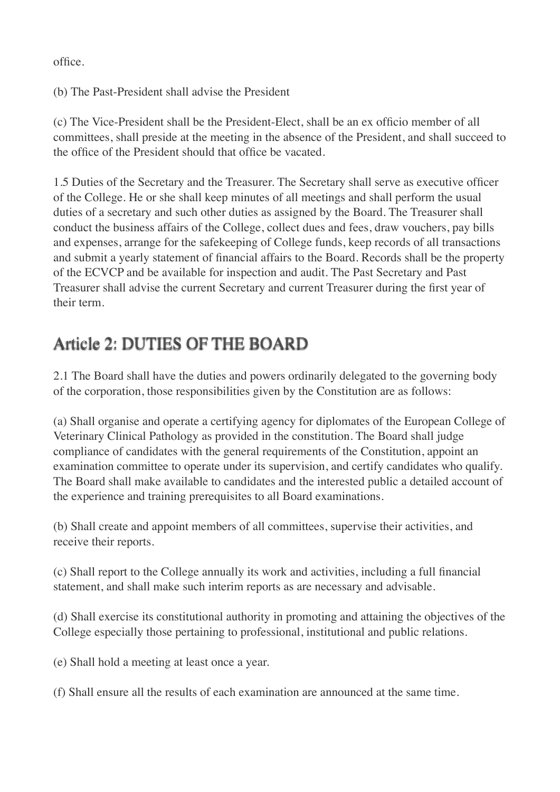office.

(b) The Past-President shall advise the President

(c) The Vice-President shall be the President-Elect, shall be an ex officio member of all committees, shall preside at the meeting in the absence of the President, and shall succeed to the office of the President should that office be vacated.

1.5 Duties of the Secretary and the Treasurer. The Secretary shall serve as executive officer of the College. He or she shall keep minutes of all meetings and shall perform the usual duties of a secretary and such other duties as assigned by the Board. The Treasurer shall conduct the business affairs of the College, collect dues and fees, draw vouchers, pay bills and expenses, arrange for the safekeeping of College funds, keep records of all transactions and submit a yearly statement of financial affairs to the Board. Records shall be the property of the ECVCP and be available for inspection and audit. The Past Secretary and Past Treasurer shall advise the current Secretary and current Treasurer during the first year of their term.

# Article 2: DUTIES OF THE BOARD

2.1 The Board shall have the duties and powers ordinarily delegated to the governing body of the corporation, those responsibilities given by the Constitution are as follows:

(a) Shall organise and operate a certifying agency for diplomates of the European College of Veterinary Clinical Pathology as provided in the constitution. The Board shall judge compliance of candidates with the general requirements of the Constitution, appoint an examination committee to operate under its supervision, and certify candidates who qualify. The Board shall make available to candidates and the interested public a detailed account of the experience and training prerequisites to all Board examinations.

(b) Shall create and appoint members of all committees, supervise their activities, and receive their reports.

(c) Shall report to the College annually its work and activities, including a full financial statement, and shall make such interim reports as are necessary and advisable.

(d) Shall exercise its constitutional authority in promoting and attaining the objectives of the College especially those pertaining to professional, institutional and public relations.

(e) Shall hold a meeting at least once a year.

(f) Shall ensure all the results of each examination are announced at the same time.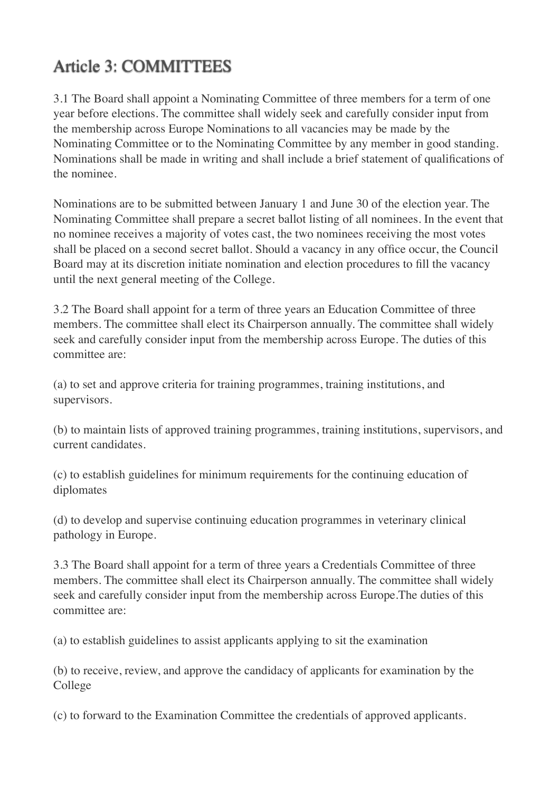# Article 3: COMMITTEES

3.1 The Board shall appoint a Nominating Committee of three members for a term of one year before elections. The committee shall widely seek and carefully consider input from the membership across Europe Nominations to all vacancies may be made by the Nominating Committee or to the Nominating Committee by any member in good standing. Nominations shall be made in writing and shall include a brief statement of qualifications of the nominee.

Nominations are to be submitted between January 1 and June 30 of the election year. The Nominating Committee shall prepare a secret ballot listing of all nominees. In the event that no nominee receives a majority of votes cast, the two nominees receiving the most votes shall be placed on a second secret ballot. Should a vacancy in any office occur, the Council Board may at its discretion initiate nomination and election procedures to fill the vacancy until the next general meeting of the College.

3.2 The Board shall appoint for a term of three years an Education Committee of three members. The committee shall elect its Chairperson annually. The committee shall widely seek and carefully consider input from the membership across Europe. The duties of this committee are:

(a) to set and approve criteria for training programmes, training institutions, and supervisors.

(b) to maintain lists of approved training programmes, training institutions, supervisors, and current candidates.

(c) to establish guidelines for minimum requirements for the continuing education of diplomates

(d) to develop and supervise continuing education programmes in veterinary clinical pathology in Europe.

3.3 The Board shall appoint for a term of three years a Credentials Committee of three members. The committee shall elect its Chairperson annually. The committee shall widely seek and carefully consider input from the membership across Europe.The duties of this committee are:

(a) to establish guidelines to assist applicants applying to sit the examination

(b) to receive, review, and approve the candidacy of applicants for examination by the College

(c) to forward to the Examination Committee the credentials of approved applicants.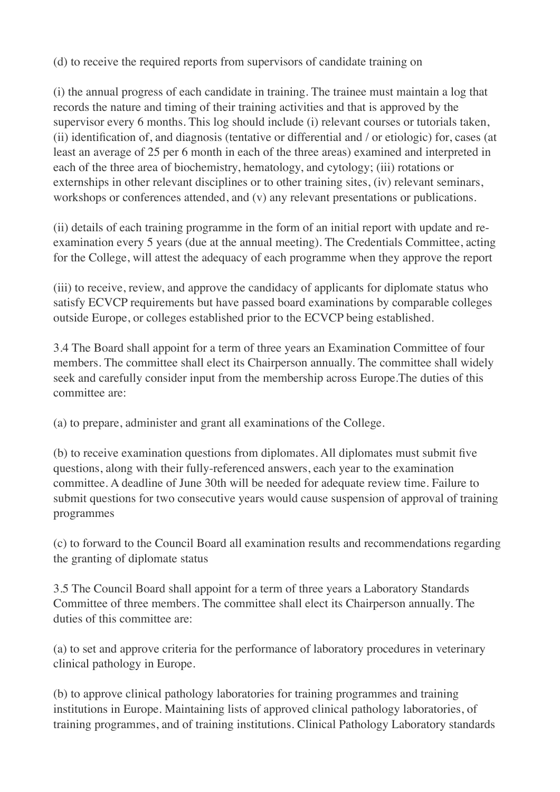(d) to receive the required reports from supervisors of candidate training on

(i) the annual progress of each candidate in training. The trainee must maintain a log that records the nature and timing of their training activities and that is approved by the supervisor every 6 months. This log should include (i) relevant courses or tutorials taken, (ii) identification of, and diagnosis (tentative or differential and / or etiologic) for, cases (at least an average of 25 per 6 month in each of the three areas) examined and interpreted in each of the three area of biochemistry, hematology, and cytology; (iii) rotations or externships in other relevant disciplines or to other training sites, (iv) relevant seminars, workshops or conferences attended, and (v) any relevant presentations or publications.

(ii) details of each training programme in the form of an initial report with update and reexamination every 5 years (due at the annual meeting). The Credentials Committee, acting for the College, will attest the adequacy of each programme when they approve the report

(iii) to receive, review, and approve the candidacy of applicants for diplomate status who satisfy ECVCP requirements but have passed board examinations by comparable colleges outside Europe, or colleges established prior to the ECVCP being established.

3.4 The Board shall appoint for a term of three years an Examination Committee of four members. The committee shall elect its Chairperson annually. The committee shall widely seek and carefully consider input from the membership across Europe.The duties of this committee are:

(a) to prepare, administer and grant all examinations of the College.

(b) to receive examination questions from diplomates. All diplomates must submit five questions, along with their fully-referenced answers, each year to the examination committee. A deadline of June 30th will be needed for adequate review time. Failure to submit questions for two consecutive years would cause suspension of approval of training programmes

(c) to forward to the Council Board all examination results and recommendations regarding the granting of diplomate status

3.5 The Council Board shall appoint for a term of three years a Laboratory Standards Committee of three members. The committee shall elect its Chairperson annually. The duties of this committee are:

(a) to set and approve criteria for the performance of laboratory procedures in veterinary clinical pathology in Europe.

(b) to approve clinical pathology laboratories for training programmes and training institutions in Europe. Maintaining lists of approved clinical pathology laboratories, of training programmes, and of training institutions. Clinical Pathology Laboratory standards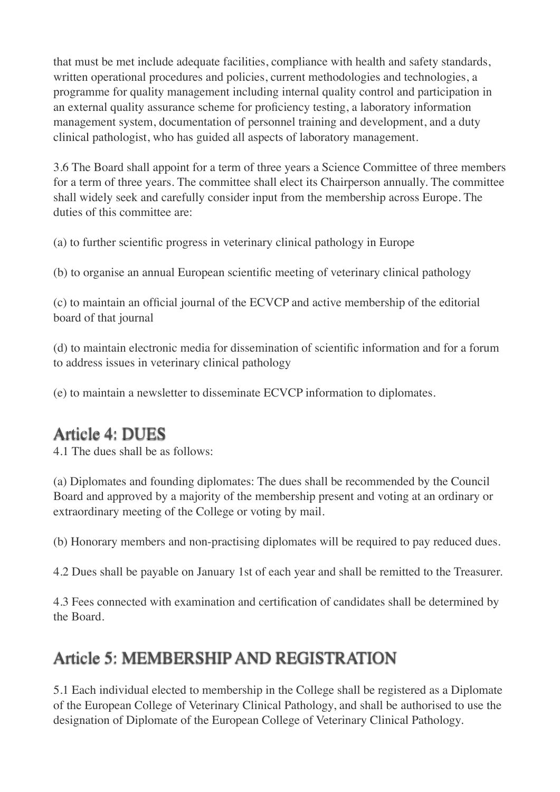that must be met include adequate facilities, compliance with health and safety standards, written operational procedures and policies, current methodologies and technologies, a programme for quality management including internal quality control and participation in an external quality assurance scheme for proficiency testing, a laboratory information management system, documentation of personnel training and development, and a duty clinical pathologist, who has guided all aspects of laboratory management.

3.6 The Board shall appoint for a term of three years a Science Committee of three members for a term of three years. The committee shall elect its Chairperson annually. The committee shall widely seek and carefully consider input from the membership across Europe. The duties of this committee are:

(a) to further scientific progress in veterinary clinical pathology in Europe

(b) to organise an annual European scientific meeting of veterinary clinical pathology

(c) to maintain an official journal of the ECVCP and active membership of the editorial board of that journal

(d) to maintain electronic media for dissemination of scientific information and for a forum to address issues in veterinary clinical pathology

(e) to maintain a newsletter to disseminate ECVCP information to diplomates.

# Article 4: DUES

4.1 The dues shall be as follows:

(a) Diplomates and founding diplomates: The dues shall be recommended by the Council Board and approved by a majority of the membership present and voting at an ordinary or extraordinary meeting of the College or voting by mail.

(b) Honorary members and non-practising diplomates will be required to pay reduced dues.

4.2 Dues shall be payable on January 1st of each year and shall be remitted to the Treasurer.

4.3 Fees connected with examination and certification of candidates shall be determined by the Board.

# Article 5: MEMBERSHIP AND REGISTRATION

5.1 Each individual elected to membership in the College shall be registered as a Diplomate of the European College of Veterinary Clinical Pathology, and shall be authorised to use the designation of Diplomate of the European College of Veterinary Clinical Pathology.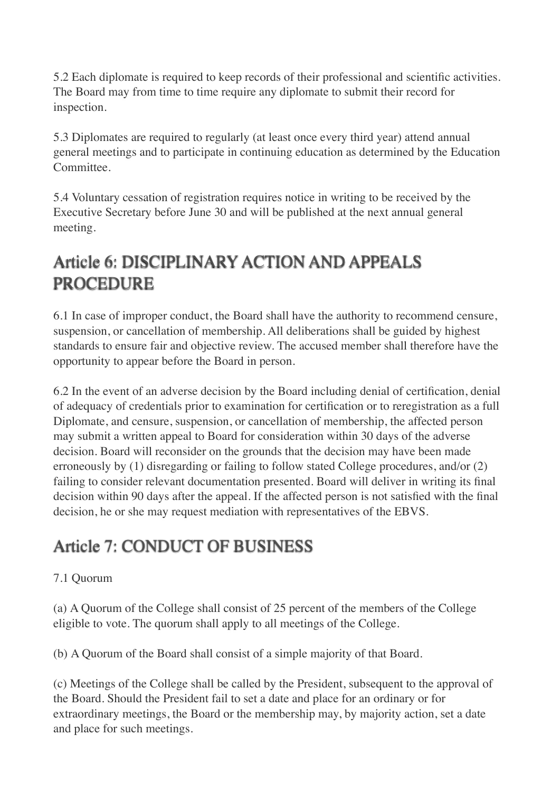5.2 Each diplomate is required to keep records of their professional and scientific activities. The Board may from time to time require any diplomate to submit their record for inspection.

5.3 Diplomates are required to regularly (at least once every third year) attend annual general meetings and to participate in continuing education as determined by the Education Committee.

5.4 Voluntary cessation of registration requires notice in writing to be received by the Executive Secretary before June 30 and will be published at the next annual general meeting.

# Article 6: DISCIPLINARY ACTION AND APPEALS PROCEDURE

6.1 In case of improper conduct, the Board shall have the authority to recommend censure, suspension, or cancellation of membership. All deliberations shall be guided by highest standards to ensure fair and objective review. The accused member shall therefore have the opportunity to appear before the Board in person.

6.2 In the event of an adverse decision by the Board including denial of certification, denial of adequacy of credentials prior to examination for certification or to reregistration as a full Diplomate, and censure, suspension, or cancellation of membership, the affected person may submit a written appeal to Board for consideration within 30 days of the adverse decision. Board will reconsider on the grounds that the decision may have been made erroneously by (1) disregarding or failing to follow stated College procedures, and/or (2) failing to consider relevant documentation presented. Board will deliver in writing its final decision within 90 days after the appeal. If the affected person is not satisfied with the final decision, he or she may request mediation with representatives of the EBVS.

# Article 7: CONDUCT OF BUSINESS

#### 7.1 Quorum

(a) A Quorum of the College shall consist of 25 percent of the members of the College eligible to vote. The quorum shall apply to all meetings of the College.

(b) A Quorum of the Board shall consist of a simple majority of that Board.

(c) Meetings of the College shall be called by the President, subsequent to the approval of the Board. Should the President fail to set a date and place for an ordinary or for extraordinary meetings, the Board or the membership may, by majority action, set a date and place for such meetings.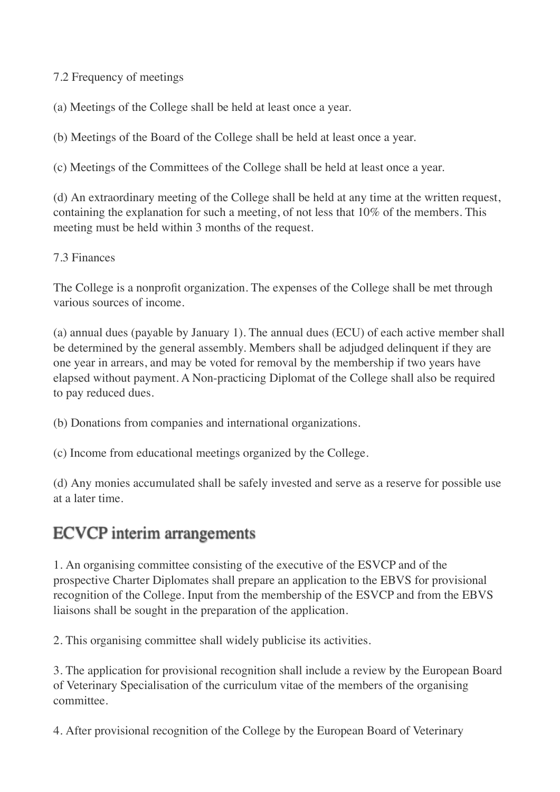7.2 Frequency of meetings

(a) Meetings of the College shall be held at least once a year.

(b) Meetings of the Board of the College shall be held at least once a year.

(c) Meetings of the Committees of the College shall be held at least once a year.

(d) An extraordinary meeting of the College shall be held at any time at the written request, containing the explanation for such a meeting, of not less that 10% of the members. This meeting must be held within 3 months of the request.

7.3 Finances

The College is a nonprofit organization. The expenses of the College shall be met through various sources of income.

(a) annual dues (payable by January 1). The annual dues (ECU) of each active member shall be determined by the general assembly. Members shall be adjudged delinquent if they are one year in arrears, and may be voted for removal by the membership if two years have elapsed without payment. A Non-practicing Diplomat of the College shall also be required to pay reduced dues.

(b) Donations from companies and international organizations.

(c) Income from educational meetings organized by the College.

(d) Any monies accumulated shall be safely invested and serve as a reserve for possible use at a later time.

#### ECVCP interim arrangements

1. An organising committee consisting of the executive of the ESVCP and of the prospective Charter Diplomates shall prepare an application to the EBVS for provisional recognition of the College. Input from the membership of the ESVCP and from the EBVS liaisons shall be sought in the preparation of the application.

2. This organising committee shall widely publicise its activities.

3. The application for provisional recognition shall include a review by the European Board of Veterinary Specialisation of the curriculum vitae of the members of the organising committee.

4. After provisional recognition of the College by the European Board of Veterinary